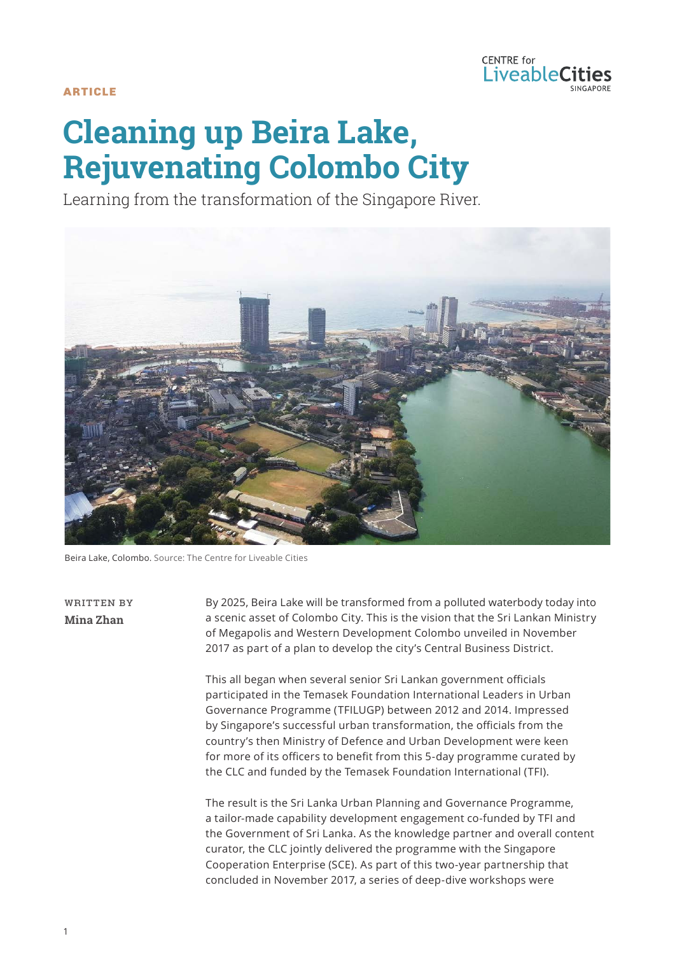

**ARTICLE** 

# **Cleaning up Beira Lake, Rejuvenating Colombo City**

Learning from the transformation of the Singapore River.



Beira Lake, Colombo. Source: The Centre for Liveable Cities

WRITTEN BY **Mina Zhan**

By 2025, Beira Lake will be transformed from a polluted waterbody today into a scenic asset of Colombo City. This is the vision that the Sri Lankan Ministry of Megapolis and Western Development Colombo unveiled in November 2017 as part of a plan to develop the city's Central Business District.

This all began when several senior Sri Lankan government officials participated in the Temasek Foundation International Leaders in Urban Governance Programme (TFILUGP) between 2012 and 2014. Impressed by Singapore's successful urban transformation, the officials from the country's then Ministry of Defence and Urban Development were keen for more of its officers to benefit from this 5-day programme curated by the CLC and funded by the Temasek Foundation International (TFI).

The result is the Sri Lanka Urban Planning and Governance Programme, a tailor-made capability development engagement co-funded by TFI and the Government of Sri Lanka. As the knowledge partner and overall content curator, the CLC jointly delivered the programme with the Singapore Cooperation Enterprise (SCE). As part of this two-year partnership that concluded in November 2017, a series of deep-dive workshops were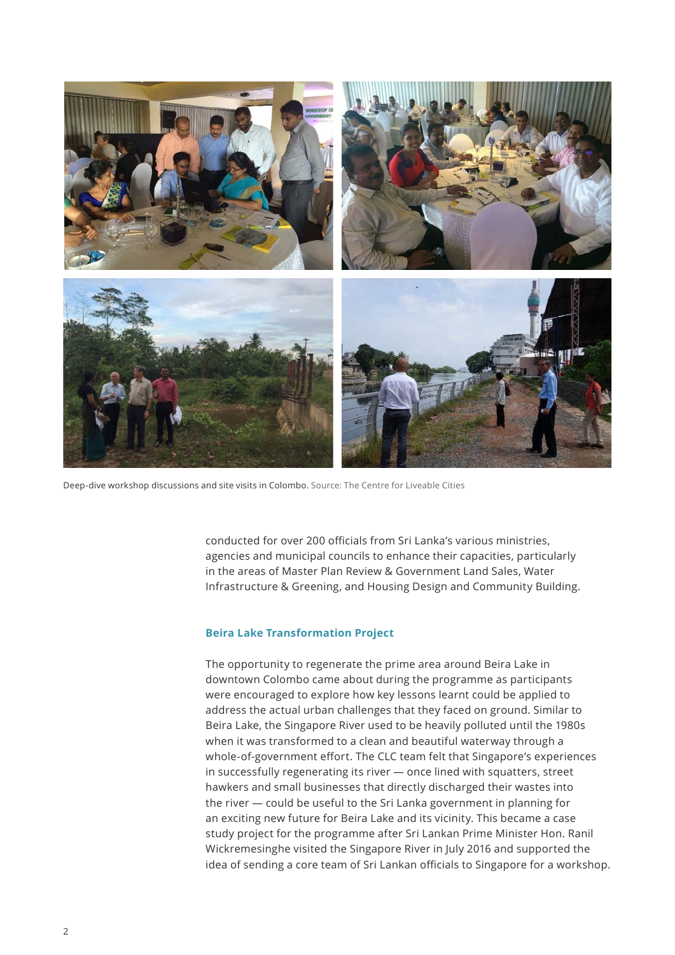

Deep-dive workshop discussions and site visits in Colombo. Source: The Centre for Liveable Cities

conducted for over 200 officials from Sri Lanka's various ministries, agencies and municipal councils to enhance their capacities, particularly in the areas of Master Plan Review & Government Land Sales, Water Infrastructure & Greening, and Housing Design and Community Building.

### **Beira Lake Transformation Project**

The opportunity to regenerate the prime area around Beira Lake in downtown Colombo came about during the programme as participants were encouraged to explore how key lessons learnt could be applied to address the actual urban challenges that they faced on ground. Similar to Beira Lake, the Singapore River used to be heavily polluted until the 1980s when it was transformed to a clean and beautiful waterway through a whole-of-government effort. The CLC team felt that Singapore's experiences in successfully regenerating its river — once lined with squatters, street hawkers and small businesses that directly discharged their wastes into the river — could be useful to the Sri Lanka government in planning for an exciting new future for Beira Lake and its vicinity. This became a case study project for the programme after Sri Lankan Prime Minister Hon. Ranil Wickremesinghe visited the Singapore River in July 2016 and supported the idea of sending a core team of Sri Lankan officials to Singapore for a workshop.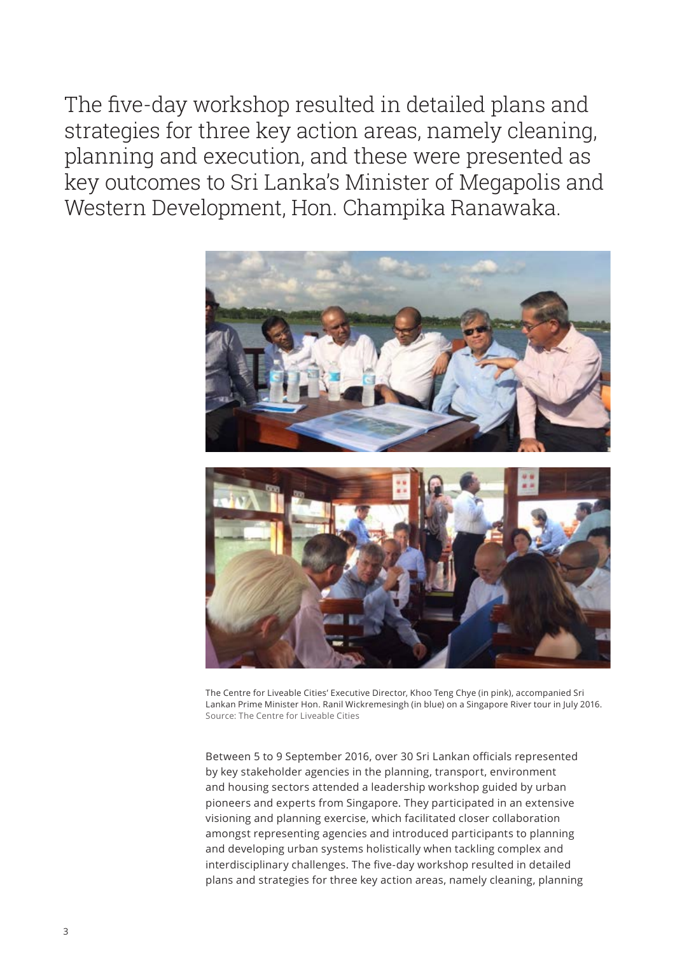The five-day workshop resulted in detailed plans and strategies for three key action areas, namely cleaning, planning and execution, and these were presented as key outcomes to Sri Lanka's Minister of Megapolis and Western Development, Hon. Champika Ranawaka.



The Centre for Liveable Cities' Executive Director, Khoo Teng Chye (in pink), accompanied Sri Lankan Prime Minister Hon. Ranil Wickremesingh (in blue) on a Singapore River tour in July 2016. Source: The Centre for Liveable Cities

Between 5 to 9 September 2016, over 30 Sri Lankan officials represented by key stakeholder agencies in the planning, transport, environment and housing sectors attended a leadership workshop guided by urban pioneers and experts from Singapore. They participated in an extensive visioning and planning exercise, which facilitated closer collaboration amongst representing agencies and introduced participants to planning and developing urban systems holistically when tackling complex and interdisciplinary challenges. The five-day workshop resulted in detailed plans and strategies for three key action areas, namely cleaning, planning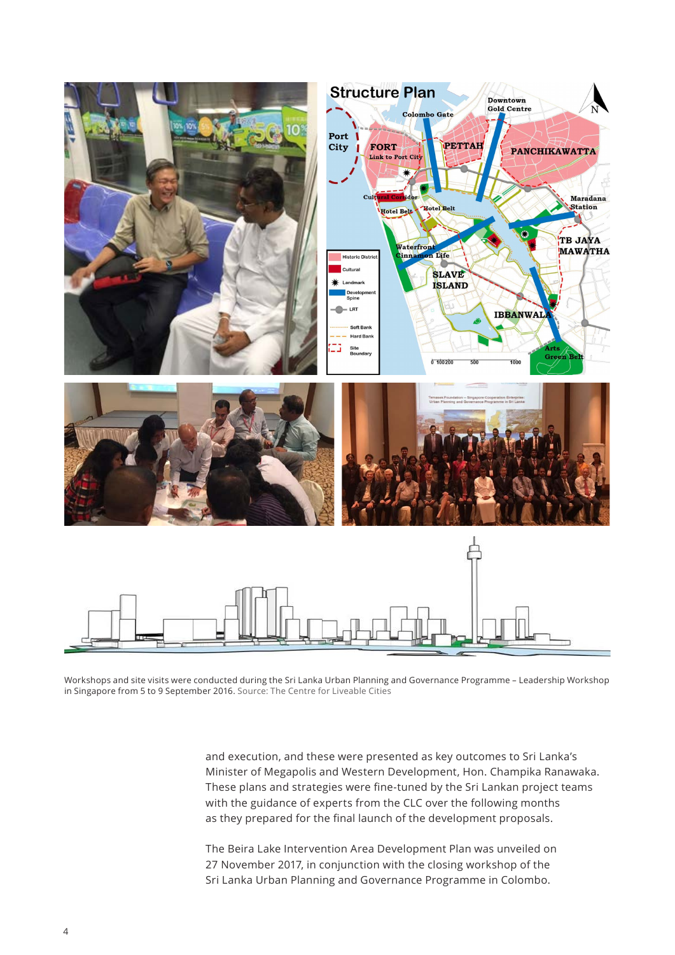

Workshops and site visits were conducted during the Sri Lanka Urban Planning and Governance Programme – Leadership Workshop in Singapore from 5 to 9 September 2016. Source: The Centre for Liveable Cities

and execution, and these were presented as key outcomes to Sri Lanka's Minister of Megapolis and Western Development, Hon. Champika Ranawaka. These plans and strategies were fine-tuned by the Sri Lankan project teams with the guidance of experts from the CLC over the following months as they prepared for the final launch of the development proposals.

The Beira Lake Intervention Area Development Plan was unveiled on 27 November 2017, in conjunction with the closing workshop of the Sri Lanka Urban Planning and Governance Programme in Colombo.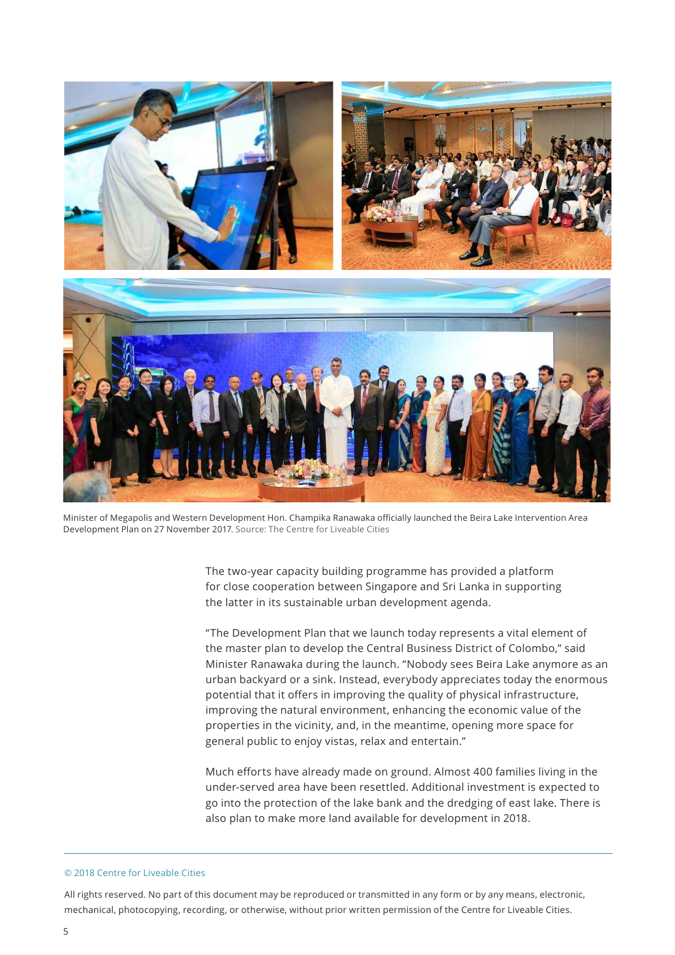

Minister of Megapolis and Western Development Hon. Champika Ranawaka officially launched the Beira Lake Intervention Area Development Plan on 27 November 2017. Source: The Centre for Liveable Cities

The two-year capacity building programme has provided a platform for close cooperation between Singapore and Sri Lanka in supporting the latter in its sustainable urban development agenda.

"The Development Plan that we launch today represents a vital element of the master plan to develop the Central Business District of Colombo," said Minister Ranawaka during the launch. "Nobody sees Beira Lake anymore as an urban backyard or a sink. Instead, everybody appreciates today the enormous potential that it offers in improving the quality of physical infrastructure, improving the natural environment, enhancing the economic value of the properties in the vicinity, and, in the meantime, opening more space for general public to enjoy vistas, relax and entertain."

Much efforts have already made on ground. Almost 400 families living in the under-served area have been resettled. Additional investment is expected to go into the protection of the lake bank and the dredging of east lake. There is also plan to make more land available for development in 2018.

#### © 2018 Centre for Liveable Cities

All rights reserved. No part of this document may be reproduced or transmitted in any form or by any means, electronic, mechanical, photocopying, recording, or otherwise, without prior written permission of the Centre for Liveable Cities.